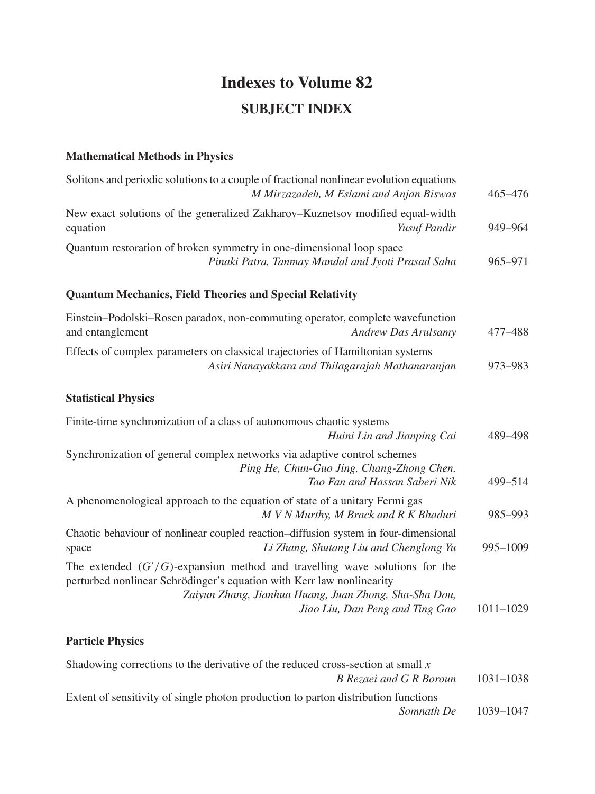# **Indexes to Volume 82 SUBJECT INDEX**

### **Mathematical Methods in Physics**

| 465-476       |
|---------------|
| 949-964       |
| 965-971       |
|               |
| 477–488       |
| 973-983       |
|               |
| 489-498       |
| 499-514       |
| 985-993       |
| 995-1009      |
|               |
| $1011 - 1029$ |
|               |

# **Particle Physics**

| Shadowing corrections to the derivative of the reduced cross-section at small $x$  |               |
|------------------------------------------------------------------------------------|---------------|
| B Rezaei and G R Boroun                                                            | $1031 - 1038$ |
| Extent of sensitivity of single photon production to parton distribution functions |               |
| Somnath De                                                                         | 1039-1047     |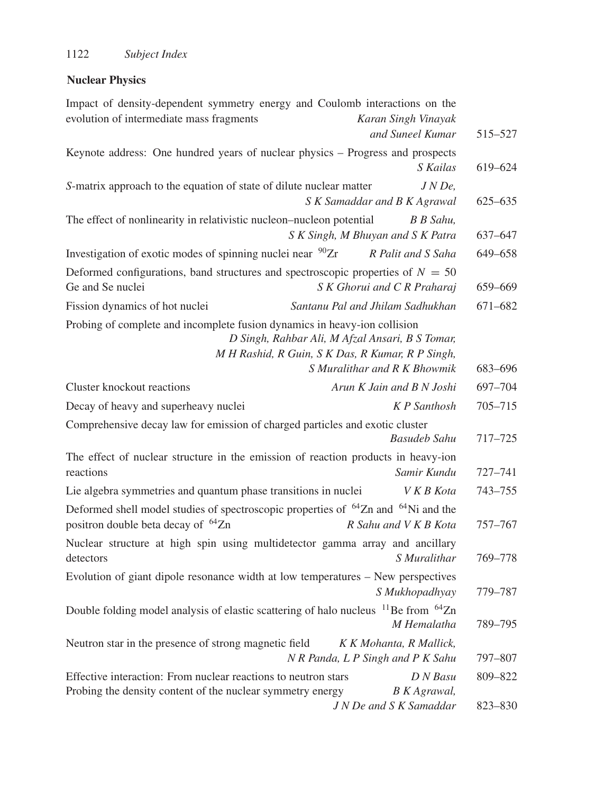# **Nuclear Physics**

| Impact of density-dependent symmetry energy and Coulomb interactions on the                                |                                                                                                                                     |                     |
|------------------------------------------------------------------------------------------------------------|-------------------------------------------------------------------------------------------------------------------------------------|---------------------|
| evolution of intermediate mass fragments                                                                   | Karan Singh Vinayak                                                                                                                 |                     |
|                                                                                                            | and Suneel Kumar                                                                                                                    | 515-527             |
| Keynote address: One hundred years of nuclear physics - Progress and prospects                             |                                                                                                                                     |                     |
|                                                                                                            |                                                                                                                                     | S Kailas<br>619-624 |
| S-matrix approach to the equation of state of dilute nuclear matter                                        |                                                                                                                                     | $JNDe$ ,            |
|                                                                                                            | S K Samaddar and B K Agrawal                                                                                                        | 625-635             |
| The effect of nonlinearity in relativistic nucleon-nucleon potential                                       | B B Sahu,                                                                                                                           |                     |
|                                                                                                            | S K Singh, M Bhuyan and S K Patra                                                                                                   | 637-647             |
| Investigation of exotic modes of spinning nuclei near <sup>90</sup> Zr                                     | R Palit and S Saha                                                                                                                  | 649-658             |
| Deformed configurations, band structures and spectroscopic properties of $N = 50$<br>Ge and Se nuclei      | S K Ghorui and C R Praharaj                                                                                                         | 659-669             |
| Fission dynamics of hot nuclei                                                                             | Santanu Pal and Jhilam Sadhukhan                                                                                                    | 671-682             |
| Probing of complete and incomplete fusion dynamics in heavy-ion collision                                  | D Singh, Rahbar Ali, M Afzal Ansari, B S Tomar,<br>M H Rashid, R Guin, S K Das, R Kumar, R P Singh,<br>S Muralithar and R K Bhowmik | 683-696             |
| Cluster knockout reactions                                                                                 | Arun K Jain and B N Joshi                                                                                                           | 697-704             |
| Decay of heavy and superheavy nuclei                                                                       | <b>K</b> P Santhosh                                                                                                                 | 705-715             |
| Comprehensive decay law for emission of charged particles and exotic cluster                               |                                                                                                                                     |                     |
|                                                                                                            | <b>Basudeb Sahu</b>                                                                                                                 | 717-725             |
| The effect of nuclear structure in the emission of reaction products in heavy-ion<br>reactions             | Samir Kundu                                                                                                                         | 727-741             |
| Lie algebra symmetries and quantum phase transitions in nuclei                                             | V K B Kota                                                                                                                          | 743-755             |
| Deformed shell model studies of spectroscopic properties of <sup>64</sup> Zn and <sup>64</sup> Ni and the  |                                                                                                                                     |                     |
| positron double beta decay of <sup>64</sup> Zn                                                             | R Sahu and V K B Kota                                                                                                               | 757-767             |
| Nuclear structure at high spin using multidetector gamma array and ancillary                               |                                                                                                                                     |                     |
| detectors                                                                                                  | S Muralithar                                                                                                                        | 769-778             |
| Evolution of giant dipole resonance width at low temperatures - New perspectives                           |                                                                                                                                     |                     |
|                                                                                                            | S Mukhopadhyay                                                                                                                      | 779-787             |
| Double folding model analysis of elastic scattering of halo nucleus <sup>11</sup> Be from <sup>64</sup> Zn | M Hemalatha                                                                                                                         | 789-795             |
| Neutron star in the presence of strong magnetic field                                                      | K K Mohanta, R Mallick,                                                                                                             |                     |
|                                                                                                            | N R Panda, L P Singh and P K Sahu                                                                                                   | 797-807             |
| Effective interaction: From nuclear reactions to neutron stars                                             |                                                                                                                                     | D N Basu<br>809-822 |
| Probing the density content of the nuclear symmetry energy                                                 | <b>B</b> K Agrawal,<br>J N De and S K Samaddar                                                                                      | 823-830             |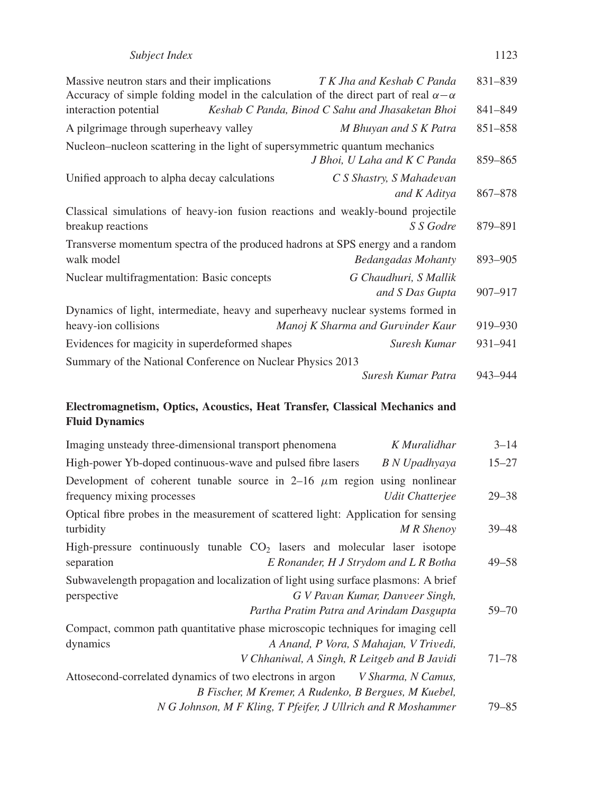| Subject Index | 1123 |
|---------------|------|
|---------------|------|

| Massive neutron stars and their implications<br>Accuracy of simple folding model in the calculation of the direct part of real $\alpha - \alpha$ | T K Jha and Keshab C Panda                       | 831-839 |  |  |  |
|--------------------------------------------------------------------------------------------------------------------------------------------------|--------------------------------------------------|---------|--|--|--|
| interaction potential                                                                                                                            | Keshab C Panda, Binod C Sahu and Jhasaketan Bhoi | 841-849 |  |  |  |
| A pilgrimage through superheavy valley                                                                                                           | M Bhuyan and S K Patra                           | 851-858 |  |  |  |
| Nucleon–nucleon scattering in the light of supersymmetric quantum mechanics                                                                      | J Bhoi, U Laha and K C Panda                     | 859-865 |  |  |  |
| Unified approach to alpha decay calculations<br>C S Shastry, S Mahadevan<br>and K Aditya                                                         |                                                  |         |  |  |  |
| Classical simulations of heavy-ion fusion reactions and weakly-bound projectile<br>breakup reactions                                             | S S Godre                                        | 879–891 |  |  |  |
| Transverse momentum spectra of the produced hadrons at SPS energy and a random<br>walk model                                                     | <b>Bedangadas Mohanty</b>                        | 893-905 |  |  |  |
| Nuclear multifragmentation: Basic concepts                                                                                                       | G Chaudhuri, S Mallik<br>and S Das Gupta         | 907-917 |  |  |  |
| Dynamics of light, intermediate, heavy and superheavy nuclear systems formed in<br>heavy-ion collisions                                          | Manoj K Sharma and Gurvinder Kaur                | 919-930 |  |  |  |
| Evidences for magicity in superdeformed shapes<br>Suresh Kumar                                                                                   |                                                  |         |  |  |  |
| Summary of the National Conference on Nuclear Physics 2013                                                                                       |                                                  |         |  |  |  |
|                                                                                                                                                  | Suresh Kumar Patra                               | 943-944 |  |  |  |

## **Electromagnetism, Optics, Acoustics, Heat Transfer, Classical Mechanics and Fluid Dynamics**

| Imaging unsteady three-dimensional transport phenomena                                                                                                                            | K Muralidhar       | $3 - 14$  |
|-----------------------------------------------------------------------------------------------------------------------------------------------------------------------------------|--------------------|-----------|
| High-power Yb-doped continuous-wave and pulsed fibre lasers                                                                                                                       | B N Upadhyaya      | $15 - 27$ |
| Development of coherent tunable source in 2–16 $\mu$ m region using nonlinear<br>frequency mixing processes                                                                       | Udit Chatteriee    | $29 - 38$ |
| Optical fibre probes in the measurement of scattered light: Application for sensing<br>turbidity                                                                                  | M R Shenov         | $39 - 48$ |
| High-pressure continuously tunable $CO2$ lasers and molecular laser isotope<br>E Ronander, H J Strydom and L R Botha<br>separation                                                |                    | $49 - 58$ |
| Subwavelength propagation and localization of light using surface plasmons: A brief<br>G V Pavan Kumar, Danveer Singh,<br>perspective<br>Partha Pratim Patra and Arindam Dasgupta |                    | $59 - 70$ |
| Compact, common path quantitative phase microscopic techniques for imaging cell<br>A Anand, P Vora, S Mahajan, V Trivedi,<br>dynamics                                             |                    |           |
| V Chhaniwal, A Singh, R Leitgeb and B Javidi<br>Attosecond-correlated dynamics of two electrons in argon                                                                          | V Sharma, N Camus, | $71 - 78$ |
| B Fischer, M Kremer, A Rudenko, B Bergues, M Kuebel,<br>N G Johnson, M F Kling, T Pfeifer, J Ullrich and R Moshammer                                                              |                    | 79–85     |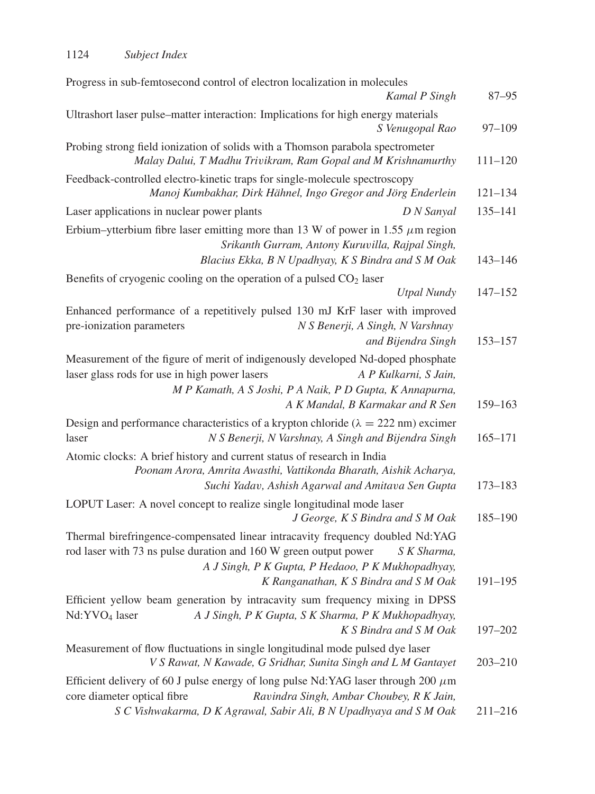| Progress in sub-femtosecond control of electron localization in molecules<br>Kamal P Singh                                                                                                                                                                     | $87 - 95$   |
|----------------------------------------------------------------------------------------------------------------------------------------------------------------------------------------------------------------------------------------------------------------|-------------|
| Ultrashort laser pulse–matter interaction: Implications for high energy materials<br>S Venugopal Rao                                                                                                                                                           | $97 - 109$  |
| Probing strong field ionization of solids with a Thomson parabola spectrometer<br>Malay Dalui, T Madhu Trivikram, Ram Gopal and M Krishnamurthy                                                                                                                | $111 - 120$ |
| Feedback-controlled electro-kinetic traps for single-molecule spectroscopy<br>Manoj Kumbakhar, Dirk Hähnel, Ingo Gregor and Jörg Enderlein                                                                                                                     | $121 - 134$ |
| Laser applications in nuclear power plants<br>D N Sanyal                                                                                                                                                                                                       | $135 - 141$ |
| Erbium–ytterbium fibre laser emitting more than 13 W of power in 1.55 $\mu$ m region<br>Srikanth Gurram, Antony Kuruvilla, Rajpal Singh,<br>Blacius Ekka, B N Upadhyay, K S Bindra and S M Oak                                                                 | $143 - 146$ |
| Benefits of cryogenic cooling on the operation of a pulsed $CO2$ laser                                                                                                                                                                                         |             |
| <b>Utpal Nundy</b>                                                                                                                                                                                                                                             | $147 - 152$ |
| Enhanced performance of a repetitively pulsed 130 mJ KrF laser with improved<br>pre-ionization parameters<br>N S Benerji, A Singh, N Varshnay<br>and Bijendra Singh                                                                                            | $153 - 157$ |
| Measurement of the figure of merit of indigenously developed Nd-doped phosphate<br>laser glass rods for use in high power lasers<br>A P Kulkarni, S Jain,<br>M P Kamath, A S Joshi, P A Naik, P D Gupta, K Annapurna,<br>A K Mandal, B Karmakar and R Sen      | $159 - 163$ |
| Design and performance characteristics of a krypton chloride ( $\lambda = 222$ nm) excimer<br>N S Benerji, N Varshnay, A Singh and Bijendra Singh<br>laser                                                                                                     | $165 - 171$ |
| Atomic clocks: A brief history and current status of research in India<br>Poonam Arora, Amrita Awasthi, Vattikonda Bharath, Aishik Acharya,<br>Suchi Yadav, Ashish Agarwal and Amitava Sen Gupta                                                               | $173 - 183$ |
| LOPUT Laser: A novel concept to realize single longitudinal mode laser<br>J George, K S Bindra and S M Oak                                                                                                                                                     | $185 - 190$ |
| Thermal birefringence-compensated linear intracavity frequency doubled Nd:YAG<br>rod laser with 73 ns pulse duration and 160 W green output power<br>S K Sharma,<br>A J Singh, P K Gupta, P Hedaoo, P K Mukhopadhyay,<br>K Ranganathan, K S Bindra and S M Oak | $191 - 195$ |
| Efficient yellow beam generation by intracavity sum frequency mixing in DPSS<br>Nd:YVO <sub>4</sub> laser<br>A J Singh, P K Gupta, S K Sharma, P K Mukhopadhyay,<br>K S Bindra and S M Oak                                                                     | 197-202     |
| Measurement of flow fluctuations in single longitudinal mode pulsed dye laser<br>V S Rawat, N Kawade, G Sridhar, Sunita Singh and L M Gantayet                                                                                                                 | $203 - 210$ |
| Efficient delivery of 60 J pulse energy of long pulse Nd: YAG laser through 200 $\mu$ m<br>core diameter optical fibre<br>Ravindra Singh, Ambar Choubey, R K Jain,<br>S C Vishwakarma, D K Agrawal, Sabir Ali, B N Upadhyaya and S M Oak                       | $211 - 216$ |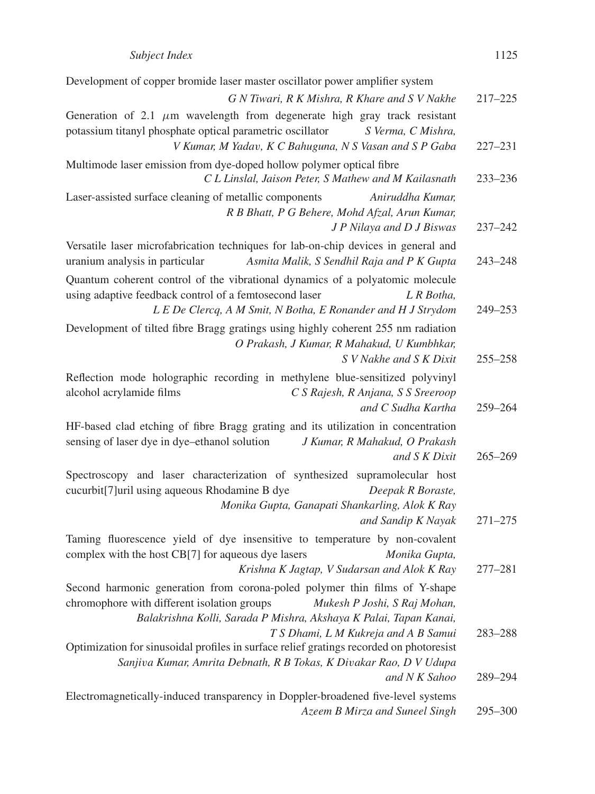| Development of copper bromide laser master oscillator power amplifier system                                                                                                                                                |                    |
|-----------------------------------------------------------------------------------------------------------------------------------------------------------------------------------------------------------------------------|--------------------|
| G N Tiwari, R K Mishra, R Khare and S V Nakhe                                                                                                                                                                               | $217 - 225$        |
| Generation of 2.1 $\mu$ m wavelength from degenerate high gray track resistant<br>potassium titanyl phosphate optical parametric oscillator<br>S Verma, C Mishra,                                                           |                    |
| V Kumar, M Yadav, K C Bahuguna, N S Vasan and S P Gaba                                                                                                                                                                      | $227 - 231$        |
| Multimode laser emission from dye-doped hollow polymer optical fibre<br>C L Linslal, Jaison Peter, S Mathew and M Kailasnath                                                                                                | $233 - 236$        |
| Laser-assisted surface cleaning of metallic components<br>Aniruddha Kumar,<br>R B Bhatt, P G Behere, Mohd Afzal, Arun Kumar,<br>J P Nilaya and D J Biswas                                                                   | $237 - 242$        |
| Versatile laser microfabrication techniques for lab-on-chip devices in general and<br>uranium analysis in particular<br>Asmita Malik, S Sendhil Raja and P K Gupta                                                          | $243 - 248$        |
| Quantum coherent control of the vibrational dynamics of a polyatomic molecule<br>using adaptive feedback control of a femtosecond laser<br>L R Botha,<br>L E De Clercq, A M Smit, N Botha, E Ronander and H J Strydom       | 249-253            |
| Development of tilted fibre Bragg gratings using highly coherent 255 nm radiation<br>O Prakash, J Kumar, R Mahakud, U Kumbhkar,<br>S V Nakhe and S K Dixit                                                                  | $255 - 258$        |
| Reflection mode holographic recording in methylene blue-sensitized polyvinyl<br>alcohol acrylamide films<br>C S Rajesh, R Anjana, S S Sreeroop<br>and C Sudha Kartha                                                        | 259-264            |
| HF-based clad etching of fibre Bragg grating and its utilization in concentration<br>sensing of laser dye in dye-ethanol solution<br>J Kumar, R Mahakud, O Prakash<br>and S K Dixit                                         | $265 - 269$        |
| Spectroscopy and laser characterization of synthesized supramolecular host<br>cucurbit[7]uril using aqueous Rhodamine B dye<br>Deepak R Boraste,<br>Monika Gupta, Ganapati Shankarling, Alok K Ray<br>and Sandip K Nayak    | $271 - 275$        |
| Taming fluorescence yield of dye insensitive to temperature by non-covalent<br>complex with the host CB[7] for aqueous dye lasers<br>Monika Gupta,<br>Krishna K Jagtap, V Sudarsan and Alok K Ray                           | 277-281            |
| Second harmonic generation from corona-poled polymer thin films of Y-shape<br>chromophore with different isolation groups Mukesh P Joshi, S Raj Mohan,<br>Balakrishna Kolli, Sarada P Mishra, Akshaya K Palai, Tapan Kanai, |                    |
| T S Dhami, L M Kukreja and A B Samui<br>Optimization for sinusoidal profiles in surface relief gratings recorded on photoresist<br>Sanjiva Kumar, Amrita Debnath, R B Tokas, K Divakar Rao, D V Udupa<br>and N K Sahoo      | 283-288<br>289-294 |
| Electromagnetically-induced transparency in Doppler-broadened five-level systems<br>Azeem B Mirza and Suneel Singh                                                                                                          | 295-300            |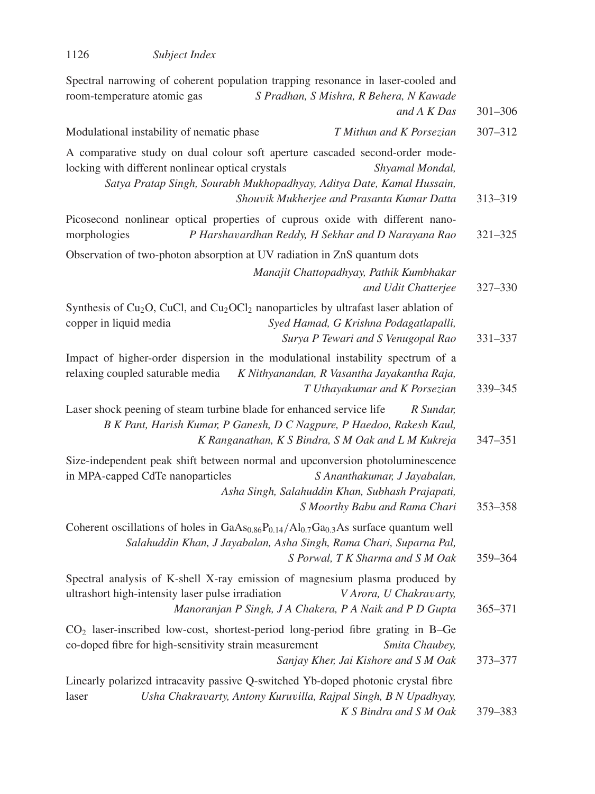| Spectral narrowing of coherent population trapping resonance in laser-cooled and<br>S Pradhan, S Mishra, R Behera, N Kawade<br>room-temperature atomic gas<br>and A K Das                                                                                                   | $301 - 306$ |
|-----------------------------------------------------------------------------------------------------------------------------------------------------------------------------------------------------------------------------------------------------------------------------|-------------|
| Modulational instability of nematic phase<br>T Mithun and K Porsezian                                                                                                                                                                                                       | 307-312     |
| A comparative study on dual colour soft aperture cascaded second-order mode-<br>locking with different nonlinear optical crystals<br>Shyamal Mondal,<br>Satya Pratap Singh, Sourabh Mukhopadhyay, Aditya Date, Kamal Hussain,<br>Shouvik Mukherjee and Prasanta Kumar Datta | 313-319     |
| Picosecond nonlinear optical properties of cuprous oxide with different nano-<br>morphologies<br>P Harshavardhan Reddy, H Sekhar and D Narayana Rao                                                                                                                         | 321-325     |
| Observation of two-photon absorption at UV radiation in ZnS quantum dots<br>Manajit Chattopadhyay, Pathik Kumbhakar<br>and Udit Chatterjee                                                                                                                                  | 327-330     |
| Synthesis of Cu <sub>2</sub> O, CuCl, and Cu <sub>2</sub> OCl <sub>2</sub> nanoparticles by ultrafast laser ablation of<br>copper in liquid media<br>Syed Hamad, G Krishna Podagatlapalli,<br>Surya P Tewari and S Venugopal Rao                                            | 331-337     |
| Impact of higher-order dispersion in the modulational instability spectrum of a<br>relaxing coupled saturable media<br>K Nithyanandan, R Vasantha Jayakantha Raja,<br>T Uthayakumar and K Porsezian                                                                         | 339-345     |
| Laser shock peening of steam turbine blade for enhanced service life<br>R Sundar,<br>B K Pant, Harish Kumar, P Ganesh, D C Nagpure, P Haedoo, Rakesh Kaul,<br>K Ranganathan, K S Bindra, S M Oak and L M Kukreja                                                            | $347 - 351$ |
| Size-independent peak shift between normal and upconversion photoluminescence<br>in MPA-capped CdTe nanoparticles<br>S Ananthakumar, J Jayabalan,<br>Asha Singh, Salahuddin Khan, Subhash Prajapati,<br>S Moorthy Babu and Rama Chari                                       | 353 - 358   |
| Coherent oscillations of holes in $GaAs_{0.86}P_{0.14}/Al_{0.7}Ga_{0.3}As$ surface quantum well<br>Salahuddin Khan, J Jayabalan, Asha Singh, Rama Chari, Suparna Pal,<br>S Porwal, T K Sharma and S M Oak                                                                   | 359-364     |
| Spectral analysis of K-shell X-ray emission of magnesium plasma produced by<br>ultrashort high-intensity laser pulse irradiation<br>V Arora, U Chakravarty,<br>Manoranjan P Singh, J A Chakera, P A Naik and P D Gupta                                                      | 365-371     |
| $CO2$ laser-inscribed low-cost, shortest-period long-period fibre grating in B-Ge<br>co-doped fibre for high-sensitivity strain measurement<br>Smita Chaubey,<br>Sanjay Kher, Jai Kishore and S M Oak                                                                       | 373-377     |
| Linearly polarized intracavity passive Q-switched Yb-doped photonic crystal fibre<br>Usha Chakravarty, Antony Kuruvilla, Rajpal Singh, B N Upadhyay,<br>laser<br>K S Bindra and S M Oak                                                                                     | 379–383     |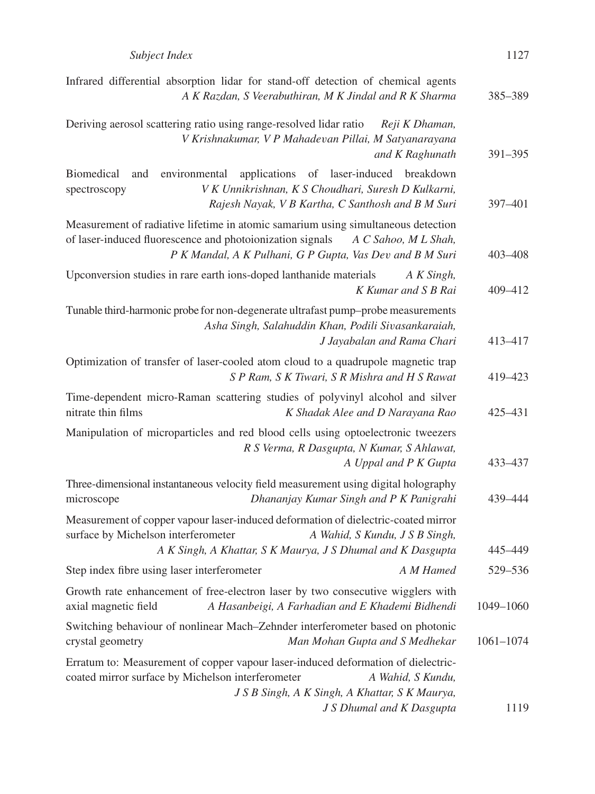| 1127 |
|------|
|      |

| Infrared differential absorption lidar for stand-off detection of chemical agents<br>A K Razdan, S Veerabuthiran, M K Jindal and R K Sharma                                                                                        | 385-389       |
|------------------------------------------------------------------------------------------------------------------------------------------------------------------------------------------------------------------------------------|---------------|
| Deriving aerosol scattering ratio using range-resolved lidar ratio<br>Reji K Dhaman,<br>V Krishnakumar, V P Mahadevan Pillai, M Satyanarayana<br>and K Raghunath                                                                   | $391 - 395$   |
| environmental<br>applications of laser-induced breakdown<br><b>Biomedical</b><br>and<br>V K Unnikrishnan, K S Choudhari, Suresh D Kulkarni,<br>spectroscopy<br>Rajesh Nayak, V B Kartha, C Santhosh and B M Suri                   | 397-401       |
| Measurement of radiative lifetime in atomic samarium using simultaneous detection<br>of laser-induced fluorescence and photoionization signals<br>A C Sahoo, M L Shah,<br>P K Mandal, A K Pulhani, G P Gupta, Vas Dev and B M Suri | $403 - 408$   |
| Upconversion studies in rare earth ions-doped lanthanide materials<br>A K Singh,<br>K Kumar and S B Rai                                                                                                                            | 409-412       |
| Tunable third-harmonic probe for non-degenerate ultrafast pump-probe measurements<br>Asha Singh, Salahuddin Khan, Podili Sivasankaraiah,<br>J Jayabalan and Rama Chari                                                             | 413-417       |
| Optimization of transfer of laser-cooled atom cloud to a quadrupole magnetic trap<br>S P Ram, S K Tiwari, S R Mishra and H S Rawat                                                                                                 | 419-423       |
| Time-dependent micro-Raman scattering studies of polyvinyl alcohol and silver<br>nitrate thin films<br>K Shadak Alee and D Narayana Rao                                                                                            | 425–431       |
| Manipulation of microparticles and red blood cells using optoelectronic tweezers<br>R S Verma, R Dasgupta, N Kumar, S Ahlawat,<br>A Uppal and P K Gupta                                                                            | 433 - 437     |
| Three-dimensional instantaneous velocity field measurement using digital holography<br>Dhananjay Kumar Singh and P K Panigrahi<br>microscope                                                                                       | 439–444       |
| Measurement of copper vapour laser-induced deformation of dielectric-coated mirror<br>surface by Michelson interferometer<br>A Wahid, S Kundu, J S B Singh,<br>A K Singh, A Khattar, S K Maurya, J S Dhumal and K Dasgupta         | 445-449       |
| Step index fibre using laser interferometer<br>A M Hamed                                                                                                                                                                           | 529-536       |
| Growth rate enhancement of free-electron laser by two consecutive wigglers with<br>A Hasanbeigi, A Farhadian and E Khademi Bidhendi<br>axial magnetic field                                                                        | 1049-1060     |
| Switching behaviour of nonlinear Mach-Zehnder interferometer based on photonic<br>crystal geometry<br>Man Mohan Gupta and S Medhekar                                                                                               | $1061 - 1074$ |
| Erratum to: Measurement of copper vapour laser-induced deformation of dielectric-<br>coated mirror surface by Michelson interferometer<br>A Wahid, S Kundu,<br>J S B Singh, A K Singh, A Khattar, S K Maurya,                      |               |
| J S Dhumal and K Dasgupta                                                                                                                                                                                                          | 1119          |